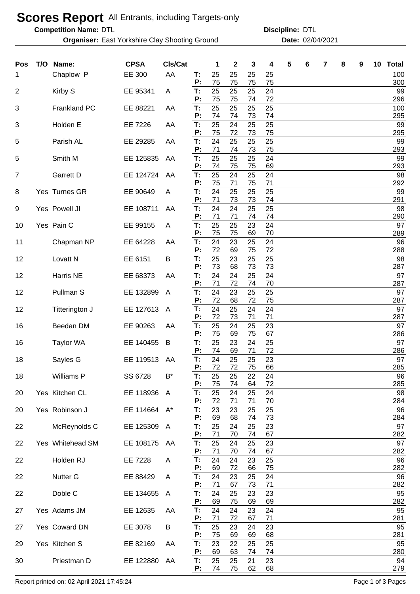## **Scores Report** All Entrants, including Targets-only

**Competition Name:**

**Organiser:** East Yorkshire Clay Shooting Ground **Date:** 02/04/2021

DTL DTL **Discipline:**

| Pos | T/O | Name:               | <b>CPSA</b>  | Cls/Cat |          | 1        | $\mathbf 2$ | 3        | 4        | 5 | 6 | 7 | 8 | 9 | 10 | <b>Total</b> |
|-----|-----|---------------------|--------------|---------|----------|----------|-------------|----------|----------|---|---|---|---|---|----|--------------|
| 1   |     | Chaplow P           | EE 300       | AA      | T:<br>P: | 25<br>75 | 25<br>75    | 25<br>75 | 25<br>75 |   |   |   |   |   |    | 100<br>300   |
| 2   |     | Kirby S             | EE 95341     | A       | T:       | 25       | 25          | 25       | 24       |   |   |   |   |   |    | 99           |
| 3   |     | <b>Frankland PC</b> | EE 88221     | AA      | P:<br>T: | 75<br>25 | 75<br>25    | 74<br>25 | 72<br>25 |   |   |   |   |   |    | 296<br>100   |
|     |     |                     |              |         | P:       | 74       | 74          | 73       | 74       |   |   |   |   |   |    | 295          |
| 3   |     | Holden E            | EE 7226      | AA      | T:<br>P: | 25<br>75 | 24<br>72    | 25<br>73 | 25<br>75 |   |   |   |   |   |    | 99<br>295    |
| 5   |     | Parish AL           | EE 29285     | AA      | T:<br>P: | 24<br>71 | 25<br>74    | 25<br>73 | 25<br>75 |   |   |   |   |   |    | 99<br>293    |
| 5   |     | Smith M             | EE 125835    | AA      | T:<br>P: | 25<br>74 | 25<br>75    | 25<br>75 | 24<br>69 |   |   |   |   |   |    | 99<br>293    |
| 7   |     | Garrett D           | EE 124724    | AA      | T:<br>P: | 25<br>75 | 24<br>71    | 25<br>75 | 24<br>71 |   |   |   |   |   |    | 98<br>292    |
| 8   |     | Yes Turnes GR       | EE 90649     | A       | T:<br>P: | 24<br>71 | 25<br>73    | 25<br>73 | 25<br>74 |   |   |   |   |   |    | 99<br>291    |
| 9   |     | Yes Powell JI       | EE 108711    | AA      | T:<br>P: | 24<br>71 | 24<br>71    | 25<br>74 | 25<br>74 |   |   |   |   |   |    | 98<br>290    |
| 10  |     | Yes Pain C          | EE 99155     | A       | T:       | 25       | 25          | 23       | 24       |   |   |   |   |   |    | 97           |
| 11  |     | Chapman NP          | EE 64228     | AA      | P:<br>T: | 75<br>24 | 75<br>23    | 69<br>25 | 70<br>24 |   |   |   |   |   |    | 289<br>96    |
| 12  |     | Lovatt <sub>N</sub> | EE 6151      | B       | Р:<br>T: | 72<br>25 | 69<br>23    | 75<br>25 | 72<br>25 |   |   |   |   |   |    | 288<br>98    |
|     |     |                     |              |         | P:       | 73       | 68          | 73       | 73       |   |   |   |   |   |    | 287          |
| 12  |     | Harris NE           | EE 68373     | AA      | T:<br>P: | 24<br>71 | 24<br>72    | 25<br>74 | 24<br>70 |   |   |   |   |   |    | 97<br>287    |
| 12  |     | Pullman S           | EE 132899    | A       | T:<br>P: | 24<br>72 | 23<br>68    | 25       | 25<br>75 |   |   |   |   |   |    | 97<br>287    |
| 12  |     | Titterington J      | EE 127613    | A       | T:       | 24       | 25          | 72<br>24 | 24       |   |   |   |   |   |    | 97           |
| 16  |     | Beedan DM           | EE 90263     | AA      | P:<br>T: | 72<br>25 | 73<br>24    | 71<br>25 | 71<br>23 |   |   |   |   |   |    | 287<br>97    |
| 16  |     | <b>Taylor WA</b>    | EE 140455    | B       | P:<br>T: | 75<br>25 | 69<br>23    | 75<br>24 | 67<br>25 |   |   |   |   |   |    | 286<br>97    |
| 18  |     | Sayles G            | EE 119513 AA |         | P:<br>T: | 74<br>24 | 69<br>25    | 71<br>25 | 72<br>23 |   |   |   |   |   |    | 286<br>97    |
|     |     |                     |              |         | P:       | 72       | 72          | 75       | 66       |   |   |   |   |   |    | 285          |
| 18  |     | Williams P          | SS 6728      | B*      | Т:<br>P: | 25<br>75 | 25<br>74    | 22<br>64 | 24<br>72 |   |   |   |   |   |    | 96<br>285    |
| 20  |     | Yes Kitchen CL      | EE 118936    | A       | T:<br>P: | 25<br>72 | 24<br>71    | 25<br>71 | 24<br>70 |   |   |   |   |   |    | 98<br>284    |
| 20  |     | Yes Robinson J      | EE 114664 A* |         | T:       | 23       | 23          | 25       | 25       |   |   |   |   |   |    | 96           |
| 22  |     | McReynolds C        | EE 125309 A  |         | Ρ:<br>T: | 69<br>25 | 68<br>24    | 74<br>25 | 73<br>23 |   |   |   |   |   |    | 284<br>97    |
| 22  |     | Yes Whitehead SM    | EE 108175    | AA      | Ρ.<br>T: | 71<br>25 | 70<br>24    | 74<br>25 | 67<br>23 |   |   |   |   |   |    | 282<br>97    |
|     |     |                     |              |         | Ρ.       | 71       | 70          | 74       | 67       |   |   |   |   |   |    | 282          |
| 22  |     | Holden RJ           | EE 7228      | A       | T:<br>Ρ. | 24<br>69 | 24<br>72    | 23<br>66 | 25<br>75 |   |   |   |   |   |    | 96<br>282    |
| 22  |     | <b>Nutter G</b>     | EE 88429     | A       | Т:<br>P: | 24<br>71 | 23<br>67    | 25<br>73 | 24<br>71 |   |   |   |   |   |    | 96<br>282    |
| 22  |     | Doble C             | EE 134655    | A       | T:<br>P: | 24<br>69 | 25<br>75    | 23<br>69 | 23<br>69 |   |   |   |   |   |    | 95<br>282    |
| 27  |     | Yes Adams JM        | EE 12635     | AA      | T:       | 24       | 24          | 23       | 24       |   |   |   |   |   |    | 95           |
| 27  |     | Yes Coward DN       | EE 3078      | B       | Ρ.<br>T: | 71<br>25 | 72<br>23    | 67<br>24 | 71<br>23 |   |   |   |   |   |    | 281<br>95    |
| 29  |     | Yes Kitchen S       | EE 82169     | AA      | Ρ:<br>Т: | 75<br>23 | 69<br>22    | 69<br>25 | 68<br>25 |   |   |   |   |   |    | 281<br>95    |
|     |     |                     |              |         | P:       | 69       | 63          | 74       | 74       |   |   |   |   |   |    | 280          |
| 30  |     | Priestman D         | EE 122880    | AA      | T:<br>P: | 25<br>74 | 25<br>75    | 21<br>62 | 23<br>68 |   |   |   |   |   |    | 94<br>279    |

Report printed on: 02 April 2021 17:45:24 Page 1 of 3 Pages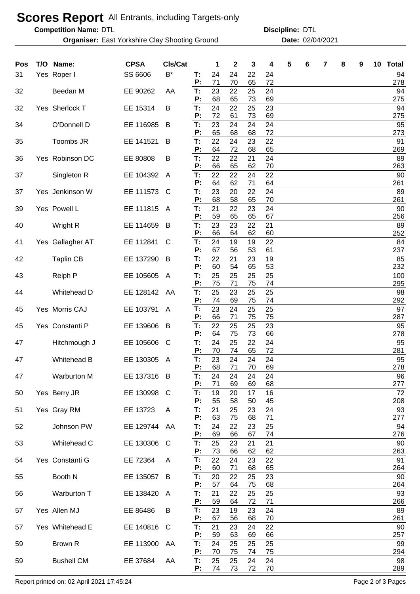## **Scores Report** All Entrants, including Targets-only

**Competition Name:**

**Organiser:** East Yorkshire Clay Shooting Ground **Date:** 02/04/2021

DTL DTL **Discipline:**

| Pos | T/O Name:         | <b>CPSA</b>  | Cls/Cat        |          | 1        | $\mathbf 2$ | 3        | 4        | 5 | 6 | 7 | 8 | 9 | 10 | <b>Total</b> |
|-----|-------------------|--------------|----------------|----------|----------|-------------|----------|----------|---|---|---|---|---|----|--------------|
| 31  | Yes Roper I       | SS 6606      | $B^*$          | T:<br>P: | 24<br>71 | 24<br>70    | 22<br>65 | 24<br>72 |   |   |   |   |   |    | 94<br>278    |
| 32  | Beedan M          | EE 90262     | AA             | T:       | 23       | 22          | 25       | 24       |   |   |   |   |   |    | 94           |
|     |                   |              |                | P:       | 68       | 65          | 73       | 69       |   |   |   |   |   |    | 275          |
| 32  | Yes Sherlock T    | EE 15314     | B              | T:<br>P: | 24<br>72 | 22<br>61    | 25<br>73 | 23<br>69 |   |   |   |   |   |    | 94<br>275    |
| 34  | O'Donnell D       | EE 116985    | B              | T:       | 23       | 24          | 24       | 24       |   |   |   |   |   |    | 95           |
| 35  | Toombs JR         | EE 141521    | B              | P:<br>T: | 65<br>22 | 68<br>24    | 68<br>23 | 72<br>22 |   |   |   |   |   |    | 273<br>91    |
|     |                   |              |                | P:       | 64       | 72          | 68       | 65       |   |   |   |   |   |    | 269          |
| 36  | Yes Robinson DC   | EE 80808     | В              | T:<br>Ρ: | 22<br>66 | 22<br>65    | 21<br>62 | 24<br>70 |   |   |   |   |   |    | 89<br>263    |
| 37  | Singleton R       | EE 104392    | $\overline{A}$ | Т:       | 22       | 22          | 24       | 22       |   |   |   |   |   |    | 90           |
| 37  | Yes Jenkinson W   | EE 111573    | C              | P:<br>T: | 64<br>23 | 62<br>20    | 71<br>22 | 64<br>24 |   |   |   |   |   |    | 261<br>89    |
|     |                   |              |                | Ρ:       | 68       | 58          | 65       | 70       |   |   |   |   |   |    | 261          |
| 39  | Yes Powell L      | EE 111815    | A              | T:<br>Р: | 21<br>59 | 22<br>65    | 23<br>65 | 24<br>67 |   |   |   |   |   |    | 90<br>256    |
| 40  | Wright R          | EE 114659    | B              | T:       | 23       | 23          | 22       | 21       |   |   |   |   |   |    | 89           |
| 41  | Yes Gallagher AT  | EE 112841    | C              | P:<br>T: | 66<br>24 | 64<br>19    | 62<br>19 | 60<br>22 |   |   |   |   |   |    | 252<br>84    |
|     |                   |              |                | Ρ.       | 67       | 56          | 53       | 61       |   |   |   |   |   |    | 237          |
| 42  | <b>Taplin CB</b>  | EE 137290    | B              | T:<br>Ρ: | 22<br>60 | 21<br>54    | 23<br>65 | 19<br>53 |   |   |   |   |   |    | 85<br>232    |
| 43  | Relph P           | EE 105605    | A              | T:       | 25       | 25          | 25       | 25       |   |   |   |   |   |    | 100          |
| 44  | Whitehead D       | EE 128142    | AA             | P:<br>T: | 75<br>25 | 71<br>23    | 75<br>25 | 74<br>25 |   |   |   |   |   |    | 295<br>98    |
|     |                   |              |                | Ρ:       | 74       | 69          | 75       | 74       |   |   |   |   |   |    | 292          |
| 45  | Yes Morris CAJ    | EE 103791    | A              | T:<br>Ρ: | 23<br>66 | 24<br>71    | 25<br>75 | 25<br>75 |   |   |   |   |   |    | 97<br>287    |
| 45  | Yes Constanti P   | EE 139606    | B              | T:       | 22       | 25          | 25       | 23       |   |   |   |   |   |    | 95           |
| 47  | Hitchmough J      | EE 105606    | C              | Ρ:<br>T: | 64<br>24 | 75<br>25    | 73<br>22 | 66<br>24 |   |   |   |   |   |    | 278<br>95    |
|     |                   |              |                | Ρ:       | 70       | 74          | 65       | 72       |   |   |   |   |   |    | 281          |
| 47  | Whitehead B       | EE 130305    | A              | T:<br>P: | 23<br>68 | 24<br>71    | 24<br>70 | 24<br>69 |   |   |   |   |   |    | 95<br>278    |
| 47  | Warburton M       | EE 137316 B  |                | Т:       | 24       | 24          | 24       | 24       |   |   |   |   |   |    | 96           |
| 50  | Yes Berry JR      | EE 130998    | C              | P:<br>T: | 71<br>19 | 69<br>20    | 69<br>17 | 68<br>16 |   |   |   |   |   |    | 277<br>72    |
|     |                   |              |                | Ρ:       | 55       | 58          | 50       | 45       |   |   |   |   |   |    | 208          |
| 51  | Yes Gray RM       | EE 13723     | A              | T:<br>P: | 21<br>63 | 25<br>75    | 23<br>68 | 24<br>71 |   |   |   |   |   |    | 93<br>277    |
| 52  | Johnson PW        | EE 129744 AA |                | T:       | 24       | 22          | 23       | 25       |   |   |   |   |   |    | 94           |
| 53  | Whitehead C       | EE 130306    | C              | P:<br>T: | 69<br>25 | 66<br>23    | 67<br>21 | 74<br>21 |   |   |   |   |   |    | 276<br>90    |
|     |                   |              |                | P:       | 73       | 66          | 62       | 62       |   |   |   |   |   |    | 263          |
| 54  | Yes Constanti G   | EE 72364     | A              | T:<br>Ρ: | 22<br>60 | 24<br>71    | 23<br>68 | 22<br>65 |   |   |   |   |   |    | 91<br>264    |
| 55  | Booth N           | EE 135057    | B              | T:       | 20       | 22          | 25       | 23       |   |   |   |   |   |    | 90           |
| 56  | Warburton T       | EE 138420    | A              | Р:<br>T: | 57<br>21 | 64<br>22    | 75<br>25 | 68<br>25 |   |   |   |   |   |    | 264<br>93    |
|     |                   |              |                | P:       | 59       | 64          | 72       | 71       |   |   |   |   |   |    | 266          |
| 57  | Yes Allen MJ      | EE 86486     | B              | T:<br>P: | 23<br>67 | 19<br>56    | 23<br>68 | 24<br>70 |   |   |   |   |   |    | 89<br>261    |
| 57  | Yes Whitehead E   | EE 140816    | C              | T:       | 21       | 23          | 24       | 22       |   |   |   |   |   |    | 90           |
| 59  | Brown R           | EE 113900    | AA             | Ρ.<br>Т: | 59<br>24 | 63<br>25    | 69<br>25 | 66<br>25 |   |   |   |   |   |    | 257<br>99    |
|     |                   |              |                | P:       | 70       | 75          | 74       | 75       |   |   |   |   |   |    | 294          |
| 59  | <b>Bushell CM</b> | EE 37684     | AA             | T:<br>P: | 25<br>74 | 25<br>73    | 24<br>72 | 24<br>70 |   |   |   |   |   |    | 98<br>289    |

Report printed on: 02 April 2021 17:45:24 Page 2 of 3 Pages